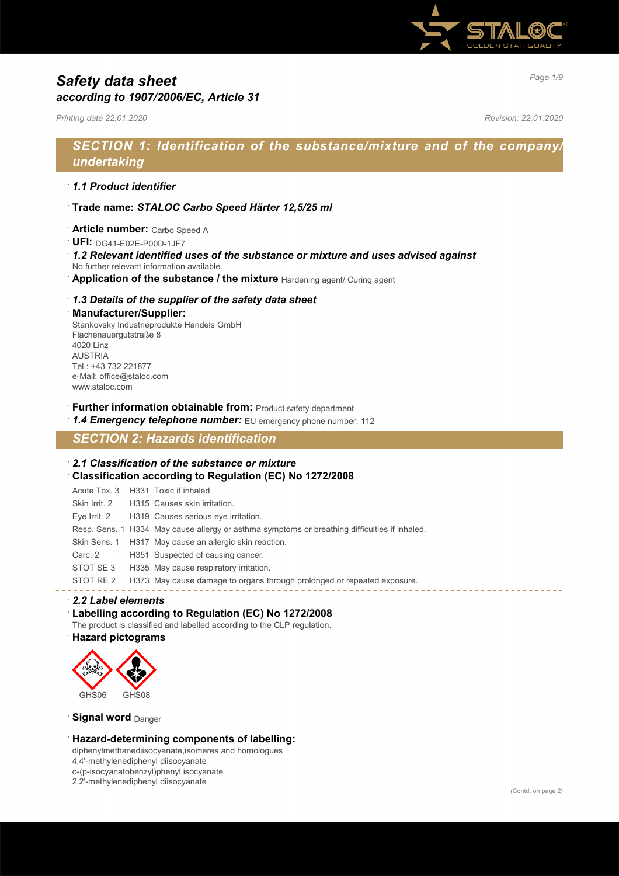

# *Page 1/9 Safety data sheet according to 1907/2006/EC, Article 31*

*Printing date 22.01.2020 Revision: 22.01.2020*

# *SECTION 1: Identification of the substance/mixture and of the company/ undertaking*

### · *1.1 Product identifier*

- · **Trade name:** *STALOC Carbo Speed Härter 12,5/25 ml*
- · **Article number:** Carbo Speed A
- · **UFI:** DG41-E02E-P00D-1JF7
- · *1.2 Relevant identified uses of the substance or mixture and uses advised against* No further relevant information available.
- Application of the substance / the mixture Hardening agent/ Curing agent
- · *1.3 Details of the supplier of the safety data sheet*

### · **Manufacturer/Supplier:**

Stankovsky Industrieprodukte Handels GmbH Flachenauergutstraße 8 4020 Linz AUSTRIA Tel.: +43 732 221877 e-Mail: office@staloc.com www.staloc.com

· **Further information obtainable from:** Product safety department

1.4 **Emergency telephone number:** EU emergency phone number: 112

# *SECTION 2: Hazards identification*

### · *2.1 Classification of the substance or mixture* · **Classification according to Regulation (EC) No 1272/2008**

Acute Tox. 3 H331 Toxic if inhaled. Skin Irrit. 2 H315 Causes skin irritation. Eye Irrit. 2 H319 Causes serious eye irritation. Resp. Sens. 1 H334 May cause allergy or asthma symptoms or breathing difficulties if inhaled. Skin Sens. 1 H317 May cause an allergic skin reaction. Carc. 2 H351 Suspected of causing cancer. STOT SE 3 H335 May cause respiratory irritation. STOT RE 2 H373 May cause damage to organs through prolonged or repeated exposure.

### · *2.2 Label elements*

### Labelling according to Regulation (EC) No 1272/2008

The product is classified and labelled according to the CLP regulation.

#### · **Hazard pictograms**



#### **Signal word** Danger

### · **Hazard-determining components of labelling:**

diphenylmethanediisocyanate,isomeres and homologues 4,4'-methylenediphenyl diisocyanate o-(p-isocyanatobenzyl)phenyl isocyanate

2,2'-methylenediphenyl diisocyanate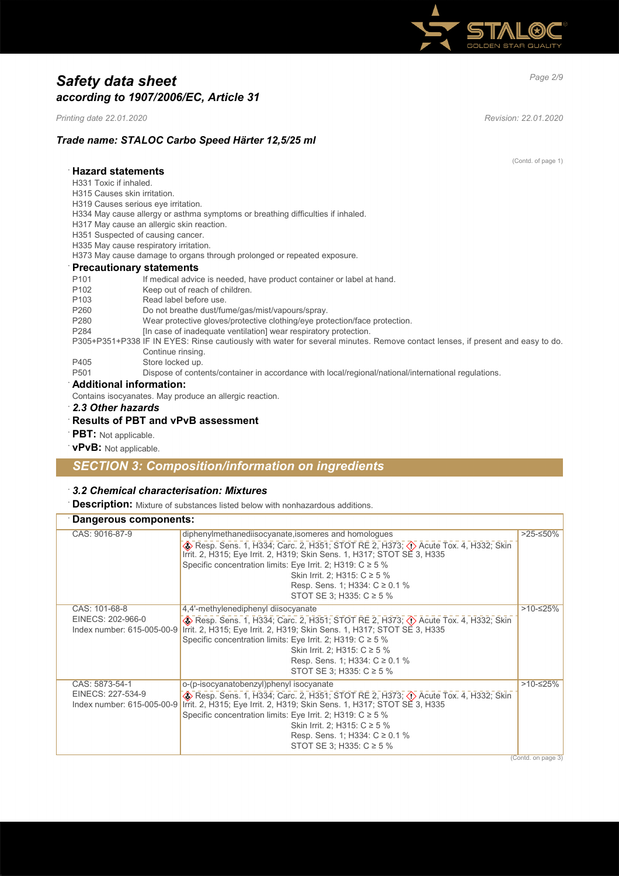

# *Page 2/9 Safety data sheet according to 1907/2006/EC, Article 31*

*Printing date 22.01.2020 Revision: 22.01.2020*

# *Trade name: STALOC Carbo Speed Härter 12,5/25 ml*

|                                                                                                                                                    | (Contd. of page 1) |
|----------------------------------------------------------------------------------------------------------------------------------------------------|--------------------|
| <b>Hazard statements</b>                                                                                                                           |                    |
| H331 Toxic if inhaled.                                                                                                                             |                    |
| H315 Causes skin irritation.                                                                                                                       |                    |
| H319 Causes serious eye irritation.                                                                                                                |                    |
| H334 May cause allergy or asthma symptoms or breathing difficulties if inhaled.                                                                    |                    |
| H317 May cause an allergic skin reaction.                                                                                                          |                    |
| H351 Suspected of causing cancer.                                                                                                                  |                    |
| H335 May cause respiratory irritation.                                                                                                             |                    |
| H373 May cause damage to organs through prolonged or repeated exposure.                                                                            |                    |
| <b>Precautionary statements</b>                                                                                                                    |                    |
| P <sub>101</sub><br>If medical advice is needed, have product container or label at hand.                                                          |                    |
| Keep out of reach of children.<br>P <sub>102</sub>                                                                                                 |                    |
| Read label before use.<br>P <sub>103</sub>                                                                                                         |                    |
| P <sub>260</sub><br>Do not breathe dust/fume/gas/mist/vapours/spray.                                                                               |                    |
| Wear protective gloves/protective clothing/eye protection/face protection.<br>P280                                                                 |                    |
| [In case of inadequate ventilation] wear respiratory protection.<br>P284                                                                           |                    |
| P305+P351+P338 IF IN EYES: Rinse cautiously with water for several minutes. Remove contact lenses, if present and easy to do.<br>Continue rinsing. |                    |
| Store locked up.<br>P405                                                                                                                           |                    |
| Dispose of contents/container in accordance with local/regional/national/international regulations.<br>P <sub>501</sub>                            |                    |
| Additional information:                                                                                                                            |                    |
| Contains isocyanates. May produce an allergic reaction.                                                                                            |                    |
| 2.3 Other hazards                                                                                                                                  |                    |

### · **Results of PBT and vPvB assessment**

- · **PBT:** Not applicable.
- · **vPvB:** Not applicable.

# *SECTION 3: Composition/information on ingredients*

## · *3.2 Chemical characterisation: Mixtures*

· **Description:** Mixture of substances listed below with nonhazardous additions.

| Dangerous components:                                             |                                                                                                                                                                                                                                                                                                                                                                                                  |            |
|-------------------------------------------------------------------|--------------------------------------------------------------------------------------------------------------------------------------------------------------------------------------------------------------------------------------------------------------------------------------------------------------------------------------------------------------------------------------------------|------------|
| CAS: 9016-87-9                                                    | diphenylmethanediisocyanate, isomeres and homologues<br>Sep. Sens. 1, H334; Carc. 2, H351; STOT RE 2, H373; $\Diamond$ Acute Tox. 4, H332; Skin<br>Irrit. 2, H315; Eye Irrit. 2, H319; Skin Sens. 1, H317; STOT SE 3, H335<br>Specific concentration limits: Eye Irrit. 2; H319: C ≥ 5 %<br>Skin Irrit. 2; H315: $C \ge 5\%$<br>Resp. Sens. 1; H334: $C ≥ 0.1 %$<br>STOT SE 3; H335: C ≥ 5 %     | >25-≤50%   |
| CAS: 101-68-8<br>EINECS: 202-966-0<br>Index number: 615-005-00-9  | 4,4'-methylenediphenyl diisocyanate<br>Skin (2) Resp. Sens. 1, H334; Carc. 2, H351; STOT RE 2, H373; $\langle \cdot \rangle$ Acute Tox. 4, H332; Skin<br>Irrit. 2, H315; Eye Irrit. 2, H319; Skin Sens. 1, H317; STOT SE 3, H335<br>Specific concentration limits: Eye Irrit. 2; H319: $C \ge 5$ %<br>Skin Irrit. 2; H315: C ≥ 5 %<br>Resp. Sens. 1; H334: C ≥ 0.1 %<br>STOT SE 3; H335: C ≥ 5 % | $>10-≤25%$ |
| CAS: 5873-54-1<br>EINECS: 227-534-9<br>Index number: 615-005-00-9 | o-(p-isocyanatobenzyl)phenyl isocyanate<br>Resp. Sens. 1, H334; Carc. 2, H351; STOT RE 2, H373; $\circled{)}$ Acute Tox. 4, H332; Skin<br>Irrit. 2, H315; Eye Irrit. 2, H319; Skin Sens. 1, H317; STOT SE 3, H335<br>Specific concentration limits: Eye Irrit. 2; H319: C ≥ 5 %<br>Skin Irrit. 2; H315: $C \ge 5\%$<br>Resp. Sens. 1; H334: $C ≥ 0.1 %$<br>STOT SE 3; H335: $C \ge 5$ %          | $>10-525%$ |

(Contd. on page 3)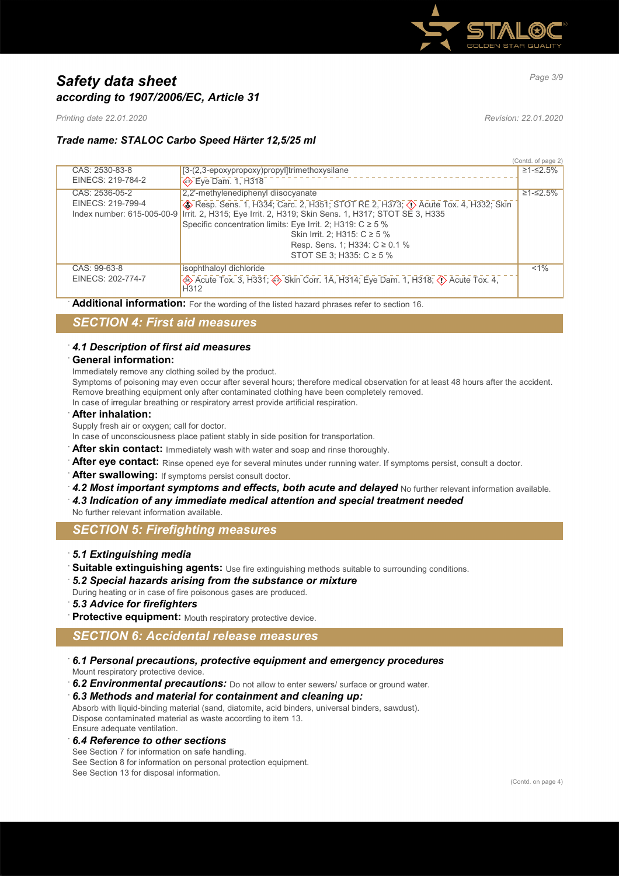

# *Page 3/9 Safety data sheet according to 1907/2006/EC, Article 31*

*Printing date 22.01.2020 Revision: 22.01.2020*

# *Trade name: STALOC Carbo Speed Härter 12,5/25 ml*

|                   |                                                                                                    | (Contd. of page 2) |
|-------------------|----------------------------------------------------------------------------------------------------|--------------------|
| CAS: 2530-83-8    | [3-(2,3-epoxypropoxy)propyl]trimethoxysilane                                                       | ≥1-≤2.5%           |
| EINECS: 219-784-2 | → Eye Dam. 1, H318                                                                                 |                    |
| CAS: 2536-05-2    | 2,2'-methylenediphenyl diisocyanate                                                                | ≥1-≤2.5%           |
| EINECS: 219-799-4 | Resp. Sens. 1, H334; Carc. 2, H351; STOT RE 2, H373; $\langle \rangle$ Acute Tox. 4, H332; Skin    |                    |
|                   | Index number: 615-005-00-9 Irrit. 2, H315; Eye Irrit. 2, H319; Skin Sens. 1, H317; STOT SE 3, H335 |                    |
|                   | Specific concentration limits: Eye Irrit. 2; H319: $C \ge 5$ %                                     |                    |
|                   | Skin Irrit. 2; H315: C ≥ 5 %                                                                       |                    |
|                   | Resp. Sens. 1; H334: C ≥ 0.1 %                                                                     |                    |
|                   | STOT SE 3; H335: C ≥ 5 %                                                                           |                    |
| CAS: 99-63-8      | isophthaloyl dichloride                                                                            | $< 1\%$            |
| EINECS: 202-774-7 | Acute Tox. 3, H331; Skin Corr. 1A, H314; Eye Dam. 1, H318; (1) Acute Tox. 4,<br>H <sub>312</sub>   |                    |

**Additional information:** For the wording of the listed hazard phrases refer to section 16.

# *SECTION 4: First aid measures*

### · *4.1 Description of first aid measures*

### · **General information:**

Immediately remove any clothing soiled by the product.

Symptoms of poisoning may even occur after several hours; therefore medical observation for at least 48 hours after the accident. Remove breathing equipment only after contaminated clothing have been completely removed.

In case of irregular breathing or respiratory arrest provide artificial respiration.

· **After inhalation:**

Supply fresh air or oxygen; call for doctor.

- In case of unconsciousness place patient stably in side position for transportation.
- After skin contact: Immediately wash with water and soap and rinse thoroughly.
- After eye contact: Rinse opened eye for several minutes under running water. If symptoms persist, consult a doctor.
- · **After swallowing:** If symptoms persist consult doctor.
- 4.2 Most important symptoms and effects, both acute and delayed No further relevant information available.
- · *4.3 Indication of any immediate medical attention and special treatment needed*
- No further relevant information available.

## *SECTION 5: Firefighting measures*

### · *5.1 Extinguishing media*

- Suitable extinguishing agents: Use fire extinguishing methods suitable to surrounding conditions.
- · *5.2 Special hazards arising from the substance or mixture*

During heating or in case of fire poisonous gases are produced.

- · *5.3 Advice for firefighters*
- Protective equipment: Mouth respiratory protective device.

# *SECTION 6: Accidental release measures*

- · *6.1 Personal precautions, protective equipment and emergency procedures* Mount respiratory protective device.
- 6.2 **Environmental precautions:** Do not allow to enter sewers/ surface or ground water.
- · *6.3 Methods and material for containment and cleaning up:*

Absorb with liquid-binding material (sand, diatomite, acid binders, universal binders, sawdust). Dispose contaminated material as waste according to item 13. Ensure adequate ventilation.

· *6.4 Reference to other sections*

See Section 7 for information on safe handling. See Section 8 for information on personal protection equipment. See Section 13 for disposal information.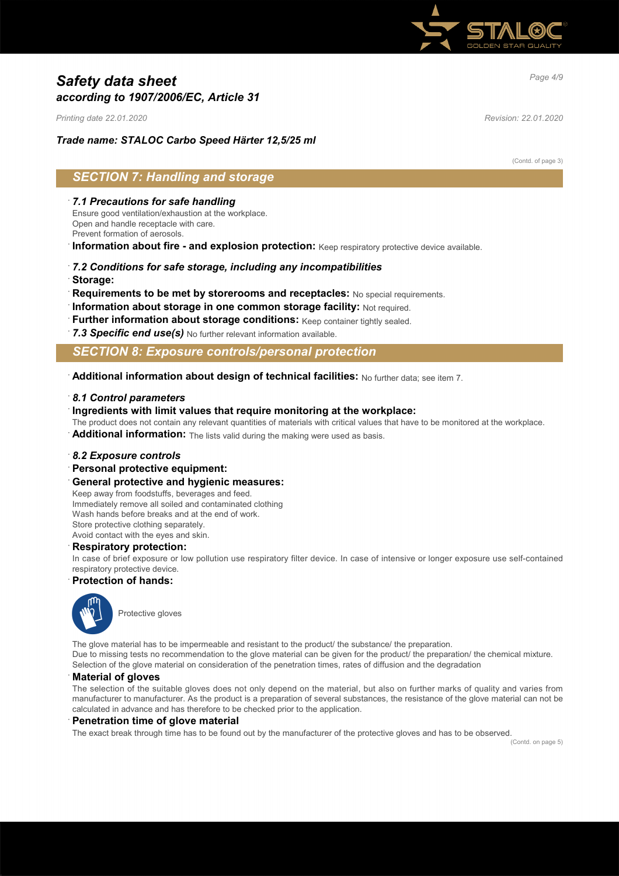

# *Page 4/9 Safety data sheet according to 1907/2006/EC, Article 31*

*Printing date 22.01.2020 Revision: 22.01.2020*

# *Trade name: STALOC Carbo Speed Härter 12,5/25 ml*

(Contd. of page 3)

# *SECTION 7: Handling and storage*

### · *7.1 Precautions for safe handling*

Ensure good ventilation/exhaustion at the workplace. Open and handle receptacle with care.

Prevent formation of aerosols.

**Information about fire - and explosion protection:** Keep respiratory protective device available.

- · *7.2 Conditions for safe storage, including any incompatibilities*
- · **Storage:**
- · **Requirements to be met by storerooms and receptacles:** No special requirements.
- **Information about storage in one common storage facility: Not required.**
- Further information about storage conditions: Keep container tightly sealed.
- 7.3 Specific end use(s) No further relevant information available.

### *SECTION 8: Exposure controls/personal protection*

· **Additional information about design of technical facilities:** No further data; see item 7.

#### · *8.1 Control parameters*

· **Ingredients with limit values that require monitoring at the workplace:**

The product does not contain any relevant quantities of materials with critical values that have to be monitored at the workplace.

**Additional information:** The lists valid during the making were used as basis.

#### · *8.2 Exposure controls*

- · **Personal protective equipment:**
- · **General protective and hygienic measures:**

Keep away from foodstuffs, beverages and feed. Immediately remove all soiled and contaminated clothing Wash hands before breaks and at the end of work. Store protective clothing separately. Avoid contact with the eyes and skin.

#### · **Respiratory protection:**

In case of brief exposure or low pollution use respiratory filter device. In case of intensive or longer exposure use self-contained respiratory protective device.

#### · **Protection of hands:**



Protective gloves

The glove material has to be impermeable and resistant to the product/ the substance/ the preparation. Due to missing tests no recommendation to the glove material can be given for the product/ the preparation/ the chemical mixture. Selection of the glove material on consideration of the penetration times, rates of diffusion and the degradation

#### · **Material of gloves**

The selection of the suitable gloves does not only depend on the material, but also on further marks of quality and varies from manufacturer to manufacturer. As the product is a preparation of several substances, the resistance of the glove material can not be calculated in advance and has therefore to be checked prior to the application.

#### · **Penetration time of glove material**

The exact break through time has to be found out by the manufacturer of the protective gloves and has to be observed.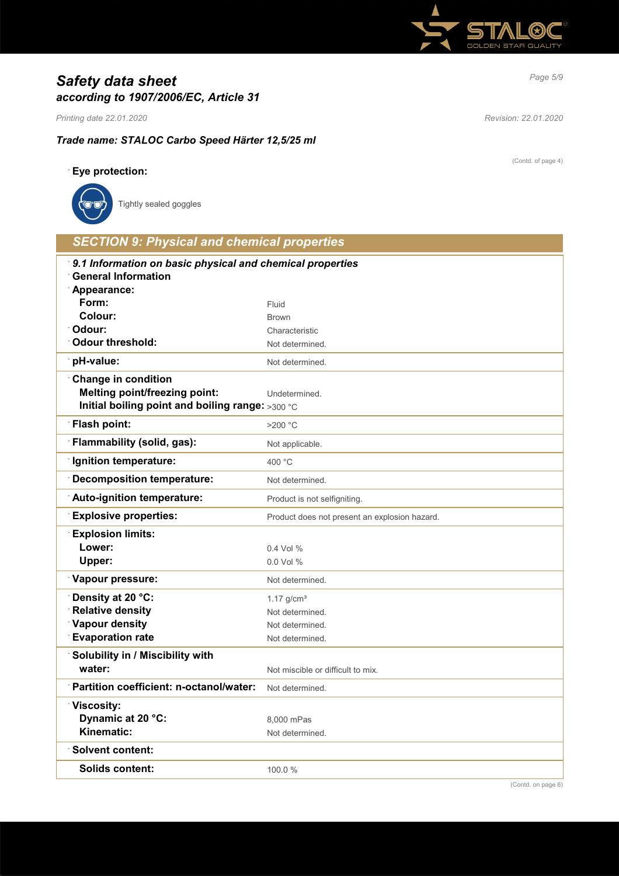

# *Page 5/9 Safety data sheet according to 1907/2006/EC, Article 31*

*Printing date 22.01.2020 Revision: 22.01.2020*

· **Eye protection:**

# *Trade name: STALOC Carbo Speed Härter 12,5/25 ml*

Solids content: 100.0 %

(Contd. of page 4)

| Tightly sealed goggles                                                                                                 |                                               |  |
|------------------------------------------------------------------------------------------------------------------------|-----------------------------------------------|--|
| <b>SECTION 9: Physical and chemical properties</b>                                                                     |                                               |  |
| 9.1 Information on basic physical and chemical properties<br><b>General Information</b><br>Appearance:                 |                                               |  |
| Form:                                                                                                                  | Fluid                                         |  |
| Colour:                                                                                                                | <b>Brown</b>                                  |  |
| Odour:                                                                                                                 | Characteristic                                |  |
| <b>Odour threshold:</b>                                                                                                | Not determined.                               |  |
| pH-value:                                                                                                              | Not determined.                               |  |
| <b>Change in condition</b><br><b>Melting point/freezing point:</b><br>Initial boiling point and boiling range: >300 °C | Undetermined.                                 |  |
| <b>Flash point:</b>                                                                                                    | $>200$ °C                                     |  |
| Flammability (solid, gas):                                                                                             | Not applicable.                               |  |
| <b>Ignition temperature:</b>                                                                                           | 400 °C                                        |  |
| <b>Decomposition temperature:</b>                                                                                      | Not determined.                               |  |
| Auto-ignition temperature:                                                                                             | Product is not selfigniting.                  |  |
| <b>Explosive properties:</b>                                                                                           | Product does not present an explosion hazard. |  |
| <b>Explosion limits:</b>                                                                                               |                                               |  |
| Lower:                                                                                                                 | 0.4 Vol %                                     |  |
| Upper:                                                                                                                 | 0.0 Vol %                                     |  |
| Vapour pressure:                                                                                                       | Not determined.                               |  |
| Density at 20 °C:                                                                                                      | $1.17$ g/cm <sup>3</sup>                      |  |
| <b>Relative density</b>                                                                                                | Not determined.                               |  |
| <b>Vapour density</b>                                                                                                  | Not determined.                               |  |
| <b>Evaporation rate</b>                                                                                                | Not determined.                               |  |
| Solubility in / Miscibility with<br>water:                                                                             | Not miscible or difficult to mix.             |  |
| Partition coefficient: n-octanol/water:                                                                                |                                               |  |
|                                                                                                                        | Not determined.                               |  |
| Viscosity:                                                                                                             |                                               |  |
| Dynamic at 20 °C:                                                                                                      | 8,000 mPas                                    |  |
| Kinematic:                                                                                                             | Not determined.                               |  |
| <b>Solvent content:</b>                                                                                                |                                               |  |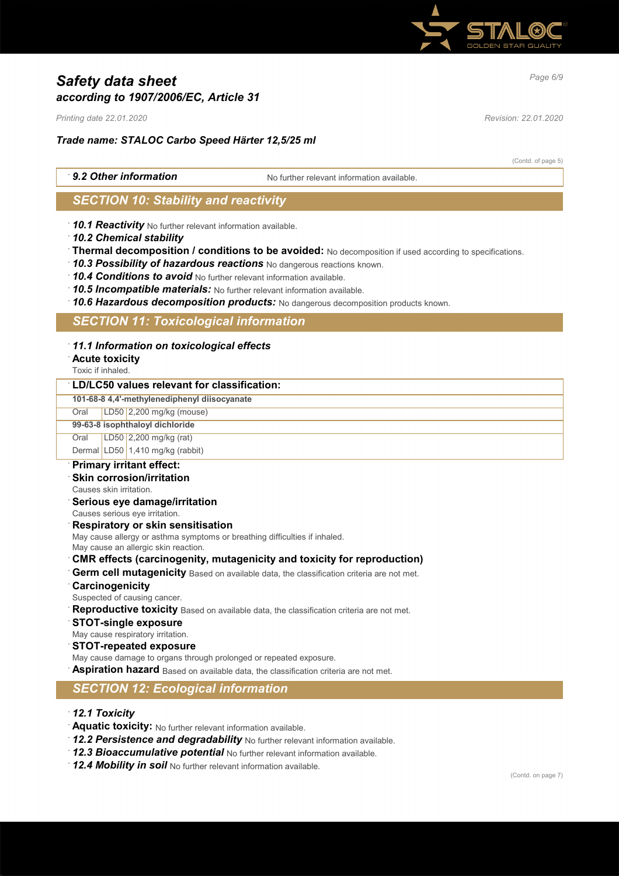

# *Page 6/9 Safety data sheet according to 1907/2006/EC, Article 31*

*Printing date 22.01.2020 Revision: 22.01.2020*

# *Trade name: STALOC Carbo Speed Härter 12,5/25 ml*

(Contd. of page 5)

**9.2 Other information** No further relevant information available

# *SECTION 10: Stability and reactivity*

· *10.1 Reactivity* No further relevant information available.

- · *10.2 Chemical stability*
- · **Thermal decomposition / conditions to be avoided:** No decomposition if used according to specifications.
- · *10.3 Possibility of hazardous reactions* No dangerous reactions known.
- · *10.4 Conditions to avoid* No further relevant information available.
- · *10.5 Incompatible materials:* No further relevant information available.
- · *10.6 Hazardous decomposition products:* No dangerous decomposition products known.

# *SECTION 11: Toxicological information*

### · *11.1 Information on toxicological effects*

### · **Acute toxicity**

Toxic if inhaled.

### · **LD/LC50 values relevant for classification:**

**101-68-8 4,4'-methylenediphenyl diisocyanate**

# Oral LD50 2,200 mg/kg (mouse)

**99-63-8 isophthaloyl dichloride**

Oral LD50 2,200 mg/kg (rat)

Dermal LD50 1,410 mg/kg (rabbit)

### · **Primary irritant effect:**

- **Skin corrosion/irritation**
- Causes skin irritation.
- · **Serious eye damage/irritation**
- Causes serious eye irritation.

#### · **Respiratory or skin sensitisation**

May cause allergy or asthma symptoms or breathing difficulties if inhaled.

May cause an allergic skin reaction.

### · **CMR effects (carcinogenity, mutagenicity and toxicity for reproduction)**

- Germ cell mutagenicity Based on available data, the classification criteria are not met.
- · **Carcinogenicity**
- Suspected of causing cancer.
- **Reproductive toxicity** Based on available data, the classification criteria are not met.
- · **STOT-single exposure**
- May cause respiratory irritation.
- · **STOT-repeated exposure**
- May cause damage to organs through prolonged or repeated exposure.
- **Aspiration hazard** Based on available data, the classification criteria are not met.

# *SECTION 12: Ecological information*

- · *12.1 Toxicity*
- · **Aquatic toxicity:** No further relevant information available.
- · *12.2 Persistence and degradability* No further relevant information available.
- · *12.3 Bioaccumulative potential* No further relevant information available.
- · *12.4 Mobility in soil* No further relevant information available.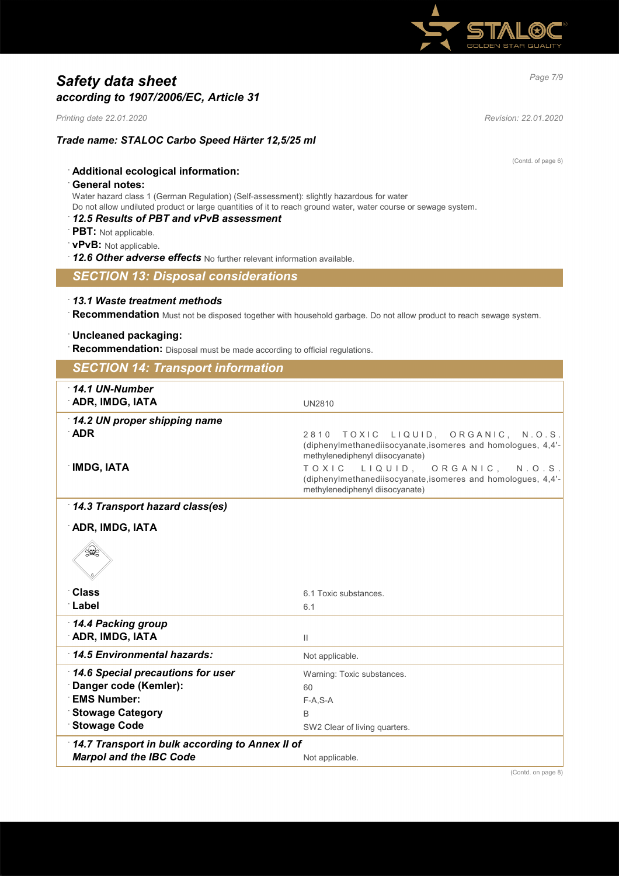

# *Page 7/9 Safety data sheet according to 1907/2006/EC, Article 31*

*Printing date 22.01.2020 Revision: 22.01.2020*

### *Trade name: STALOC Carbo Speed Härter 12,5/25 ml*

(Contd. of page 6)

# · **Additional ecological information:**

### · **General notes:**

Water hazard class 1 (German Regulation) (Self-assessment): slightly hazardous for water Do not allow undiluted product or large quantities of it to reach ground water, water course or sewage system.

## · *12.5 Results of PBT and vPvB assessment*

- · **PBT:** Not applicable.
- · **vPvB:** Not applicable.
- · *12.6 Other adverse effects* No further relevant information available.

### *SECTION 13: Disposal considerations*

### · *13.1 Waste treatment methods*

· **Recommendation** Must not be disposed together with household garbage. Do not allow product to reach sewage system.

# · **Uncleaned packaging:**

· **Recommendation:** Disposal must be made according to official regulations.

| <b>SECTION 14: Transport information</b>        |                                                                                                                                          |
|-------------------------------------------------|------------------------------------------------------------------------------------------------------------------------------------------|
| $14.1$ UN-Number                                |                                                                                                                                          |
| <b>ADR, IMDG, IATA</b>                          | <b>UN2810</b>                                                                                                                            |
| 14.2 UN proper shipping name                    |                                                                                                                                          |
| <b>ADR</b>                                      | TOXIC LIQUID, ORGANIC, N.O.S.<br>2810<br>(diphenylmethanediisocyanate, isomeres and homologues, 4,4'-<br>methylenediphenyl diisocyanate) |
| <b>IMDG, IATA</b>                               | TOXIC LIQUID, ORGANIC, N.O.S.<br>(diphenylmethanediisocyanate, isomeres and homologues, 4,4'-<br>methylenediphenyl diisocyanate)         |
| 14.3 Transport hazard class(es)                 |                                                                                                                                          |
| <b>ADR, IMDG, IATA</b>                          |                                                                                                                                          |
| D                                               |                                                                                                                                          |
| <b>Class</b>                                    | 6.1 Toxic substances.                                                                                                                    |
| ∴Label                                          | 6.1                                                                                                                                      |
| 14.4 Packing group                              |                                                                                                                                          |
| <b>ADR, IMDG, IATA</b>                          | $\mathbf{H}$                                                                                                                             |
| 14.5 Environmental hazards:                     | Not applicable.                                                                                                                          |
| 14.6 Special precautions for user               | Warning: Toxic substances.                                                                                                               |
| Danger code (Kemler):                           | 60                                                                                                                                       |
| <b>EMS Number:</b>                              | $F-A, S-A$                                                                                                                               |
| <b>Stowage Category</b>                         | B                                                                                                                                        |
| <b>Stowage Code</b>                             | SW2 Clear of living quarters.                                                                                                            |
| 14.7 Transport in bulk according to Annex II of |                                                                                                                                          |
| <b>Marpol and the IBC Code</b>                  | Not applicable.                                                                                                                          |
|                                                 | (Contd. on page 8)                                                                                                                       |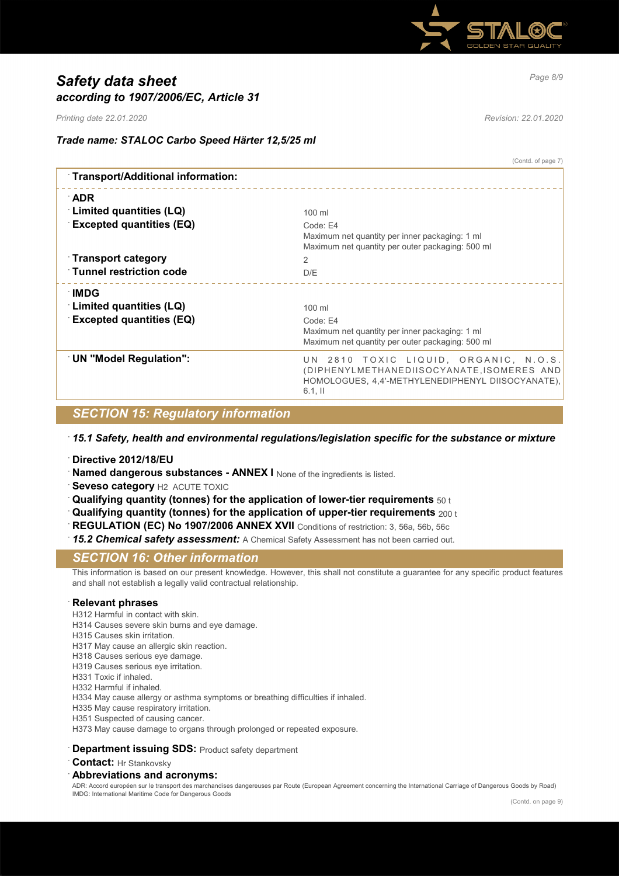

# *Page 8/9 Safety data sheet according to 1907/2006/EC, Article 31*

*Printing date 22.01.2020 Revision: 22.01.2020*

(Contd. of page 7)

# *Trade name: STALOC Carbo Speed Härter 12,5/25 ml*

| Transport/Additional information: |                                                                                                                                                        |
|-----------------------------------|--------------------------------------------------------------------------------------------------------------------------------------------------------|
| ∴ADR                              |                                                                                                                                                        |
| Limited quantities (LQ)           | $100$ ml                                                                                                                                               |
| <b>Excepted quantities (EQ)</b>   | Code: E4<br>Maximum net quantity per inner packaging: 1 ml<br>Maximum net quantity per outer packaging: 500 ml                                         |
| $\lceil$ Transport category       | 2                                                                                                                                                      |
| <b>Tunnel restriction code</b>    | D/E                                                                                                                                                    |
| ∶IMDG<br>Limited quantities (LQ)  | $100$ ml                                                                                                                                               |
| <b>Excepted quantities (EQ)</b>   | Code: E4                                                                                                                                               |
|                                   | Maximum net quantity per inner packaging: 1 ml<br>Maximum net quantity per outer packaging: 500 ml                                                     |
| <b>UN "Model Regulation":</b>     | UN 2810 TOXIC LIQUID, ORGANIC, N.O.S.<br>(DIPHENYLMETHANEDIISOCYANATE, ISOMERES AND<br>HOMOLOGUES, 4,4'-METHYLENEDIPHENYL DIISOCYANATE),<br>$6.1$ , II |
|                                   |                                                                                                                                                        |

# *SECTION 15: Regulatory information*

· *15.1 Safety, health and environmental regulations/legislation specific for the substance or mixture*

· **Directive 2012/18/EU**

**Named dangerous substances - ANNEX I** None of the ingredients is listed.

- **Seveso category H2 ACUTE TOXIC**
- · **Qualifying quantity (tonnes) for the application of lower-tier requirements** 50 t
- · **Qualifying quantity (tonnes) for the application of upper-tier requirements** 200 t
- REGULATION (EC) No 1907/2006 ANNEX XVII Conditions of restriction: 3, 56a, 56b, 56c
- · *15.2 Chemical safety assessment:* A Chemical Safety Assessment has not been carried out.

### *SECTION 16: Other information*

This information is based on our present knowledge. However, this shall not constitute a guarantee for any specific product features and shall not establish a legally valid contractual relationship.

#### · **Relevant phrases**

- H312 Harmful in contact with skin.
- H314 Causes severe skin burns and eye damage.
- H315 Causes skin irritation.
- H317 May cause an allergic skin reaction.
- H318 Causes serious eye damage.
- H319 Causes serious eye irritation.
- H331 Toxic if inhaled.
- H332 Harmful if inhaled.

H334 May cause allergy or asthma symptoms or breathing difficulties if inhaled.

- H335 May cause respiratory irritation.
- H351 Suspected of causing cancer.
- H373 May cause damage to organs through prolonged or repeated exposure.

#### **Department issuing SDS: Product safety department**

**Contact:** Hr Stankovsky

### · **Abbreviations and acronyms:**

ADR: Accord européen sur le transport des marchandises dangereuses par Route (European Agreement concerning the International Carriage of Dangerous Goods by Road) IMDG: International Maritime Code for Dangerous Goods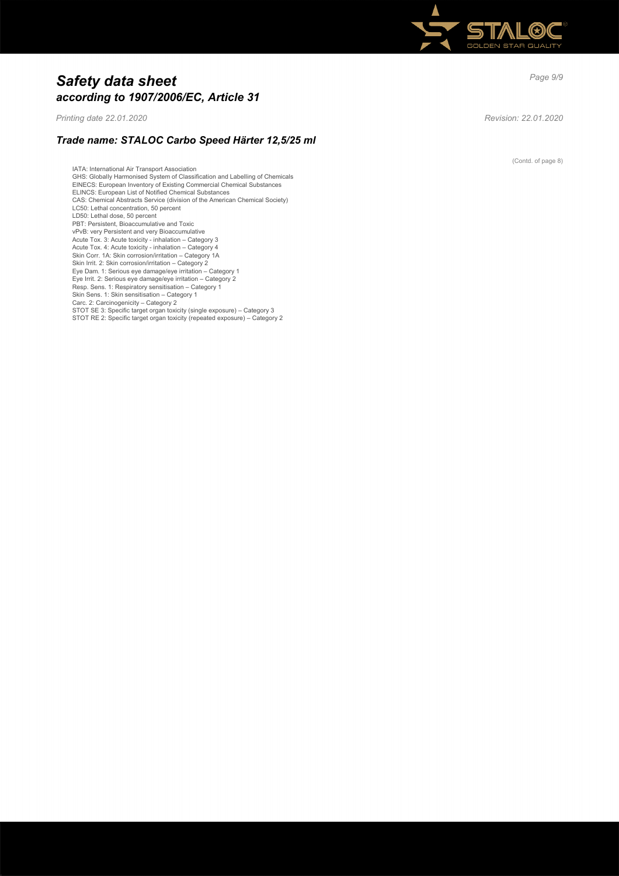

# *Page 9/9 Safety data sheet according to 1907/2006/EC, Article 31*

*Printing date 22.01.2020 Revision: 22.01.2020*

## *Trade name: STALOC Carbo Speed Härter 12,5/25 ml*

IATA: International Air Transport Association GHS: Globally Harmonised System of Classification and Labelling of Chemicals EINECS: European Inventory of Existing Commercial Chemical Substances ELINCS: European List of Notified Chemical Substances CAS: Chemical Abstracts Service (division of the American Chemical Society) LC50: Lethal concentration, 50 percent LD50: Lethal dose, 50 percent PBT: Persistent, Bioaccumulative and Toxic vPvB: very Persistent and very Bioaccumulative Acute Tox. 3: Acute toxicity - inhalation – Category 3 Acute Tox. 4: Acute toxicity - inhalation – Category 4 Skin Corr. 1A: Skin corrosion/irritation – Category 1A Skin Irrit. 2: Skin corrosion/irritation – Category 2 Eye Dam. 1: Serious eye damage/eye irritation – Category 1 Eye Irrit. 2: Serious eye damage/eye irritation – Category 2 Resp. Sens. 1: Respiratory sensitisation – Category 1 Skin Sens. 1: Skin sensitisation – Category 1 Carc. 2: Carcinogenicity – Category 2<br>STOT SE 3: Specific target organ toxicity (single exposure) – Category 3<br>STOT RE 2: Specific target organ toxicity (repeated exposure) – Category 2

(Contd. of page 8)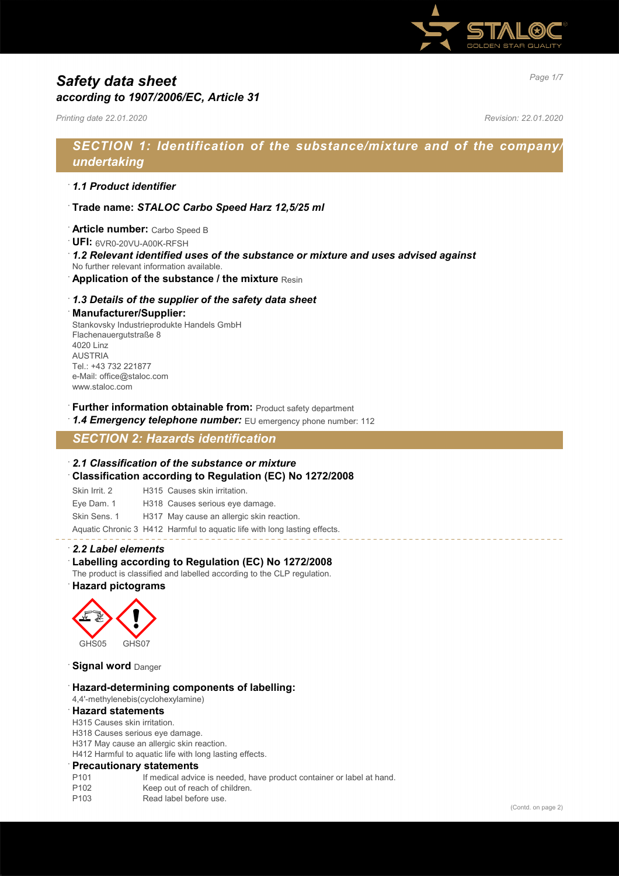

# *Page 1/7 Safety data sheet according to 1907/2006/EC, Article 31*

*Printing date 22.01.2020 Revision: 22.01.2020*

# *SECTION 1: Identification of the substance/mixture and of the company/ undertaking*

### · *1.1 Product identifier*

- · **Trade name:** *STALOC Carbo Speed Harz 12,5/25 ml*
- · **Article number:** Carbo Speed B
- · **UFI:** 6VR0-20VU-A00K-RFSH
- · *1.2 Relevant identified uses of the substance or mixture and uses advised against* No further relevant information available.
- · **Application of the substance / the mixture** Resin
- · *1.3 Details of the supplier of the safety data sheet*

# · **Manufacturer/Supplier:**

Stankovsky Industrieprodukte Handels GmbH Flachenauergutstraße 8 4020 Linz AUSTRIA Tel.: +43 732 221877 e-Mail: office@staloc.com www.staloc.com

**Further information obtainable from:** Product safety department

1.4 **Emergency telephone number:** EU emergency phone number: 112

# *SECTION 2: Hazards identification*

# · *2.1 Classification of the substance or mixture* · **Classification according to Regulation (EC) No 1272/2008**

Skin Irrit. 2 H315 Causes skin irritation. Eye Dam. 1 H318 Causes serious eye damage. Skin Sens. 1 H317 May cause an allergic skin reaction. Aquatic Chronic 3 H412 Harmful to aquatic life with long lasting effects.

### · *2.2 Label elements*

### Labelling according to Regulation (EC) No 1272/2008

The product is classified and labelled according to the CLP regulation.

· **Hazard pictograms**



**Signal word** Danger

#### · **Hazard-determining components of labelling:**

4,4'-methylenebis(cyclohexylamine)

### · **Hazard statements**

H315 Causes skin irritation.

H318 Causes serious eye damage.

H317 May cause an allergic skin reaction.

H412 Harmful to aquatic life with long lasting effects.

#### · **Precautionary statements**

- P101 If medical advice is needed, have product container or label at hand.
- P102 Keep out of reach of children.<br>P103 Read label before use.
- Read label before use.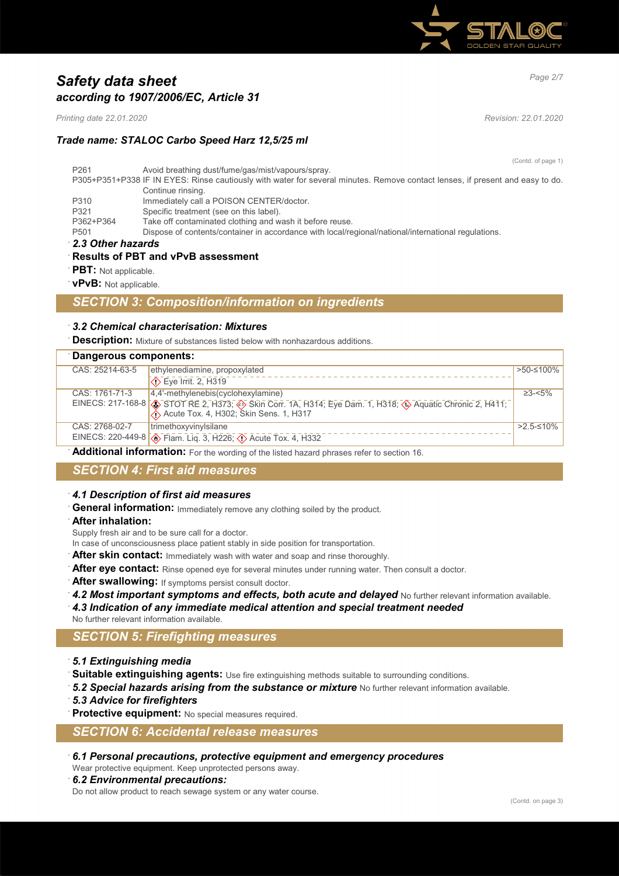

# *Page 2/7 Safety data sheet according to 1907/2006/EC, Article 31*

*Printing date 22.01.2020 Revision: 22.01.2020*

## *Trade name: STALOC Carbo Speed Harz 12,5/25 ml*

(Contd. of page 1)

| P <sub>261</sub>                                                                                                              | Avoid breathing dust/fume/gas/mist/vapours/spray.                                                   |  |
|-------------------------------------------------------------------------------------------------------------------------------|-----------------------------------------------------------------------------------------------------|--|
| P305+P351+P338 IF IN EYES: Rinse cautiously with water for several minutes. Remove contact lenses, if present and easy to do. |                                                                                                     |  |
|                                                                                                                               | Continue rinsing.                                                                                   |  |
| P310                                                                                                                          | Immediately call a POISON CENTER/doctor.                                                            |  |
| P321                                                                                                                          | Specific treatment (see on this label).                                                             |  |
| P362+P364                                                                                                                     | Take off contaminated clothing and wash it before reuse.                                            |  |
| P <sub>501</sub>                                                                                                              | Dispose of contents/container in accordance with local/regional/national/international regulations. |  |
| 2.3 Other hazards                                                                                                             |                                                                                                     |  |

# · **Results of PBT and vPvB assessment**

- **PBT:** Not applicable.
- · **vPvB:** Not applicable.

## *SECTION 3: Composition/information on ingredients*

### · *3.2 Chemical characterisation: Mixtures*

**Description:** Mixture of substances listed below with nonhazardous additions.

| Dangerous components: |                                                                                                                                                  |                    |
|-----------------------|--------------------------------------------------------------------------------------------------------------------------------------------------|--------------------|
| CAS: 25214-63-5       | ethylenediamine, propoxylated                                                                                                                    | $>50-100\%$        |
|                       | ◯ Eye Irrit. 2, H319                                                                                                                             |                    |
| CAS: 1761-71-3        | $4.4$ '-methylenebis(cyclohexylamine)                                                                                                            | $\geq$ 3- $\lt$ 5% |
|                       | EINECS: 217-168-8 3 STOT RE 2, H373, $\overline{\diamond}$ Skin Corr. 1A, H314, Eye Dam. 1, H318, $\overline{\diamond}$ Aquatic Chronic 2, H411, |                    |
| CAS: 2768-02-7        | trimethoxyvinylsilane                                                                                                                            | >2.5-≤10%          |
|                       | EINECS: 220-449-8 3 Flam. Liq. 3, H226; 4 Acute Tox. 4, H332                                                                                     |                    |

Additional information: For the wording of the listed hazard phrases refer to section 16.

# *SECTION 4: First aid measures*

### · *4.1 Description of first aid measures*

General information: Immediately remove any clothing soiled by the product.

· **After inhalation:**

Supply fresh air and to be sure call for a doctor.

- In case of unconsciousness place patient stably in side position for transportation.
- After skin contact: Immediately wash with water and soap and rinse thoroughly.
- After eye contact: Rinse opened eye for several minutes under running water. Then consult a doctor.
- After swallowing: If symptoms persist consult doctor.
- 4.2 Most important symptoms and effects, both acute and delayed No further relevant information available.
- · *4.3 Indication of any immediate medical attention and special treatment needed*
- No further relevant information available.

# *SECTION 5: Firefighting measures*

- · *5.1 Extinguishing media*
- Suitable extinguishing agents: Use fire extinguishing methods suitable to surrounding conditions.
- 5.2 Special hazards arising from the substance or mixture No further relevant information available.
- · *5.3 Advice for firefighters*

**Protective equipment:** No special measures required.

# *SECTION 6: Accidental release measures*

· *6.1 Personal precautions, protective equipment and emergency procedures*

Wear protective equipment. Keep unprotected persons away.

· *6.2 Environmental precautions:*

Do not allow product to reach sewage system or any water course.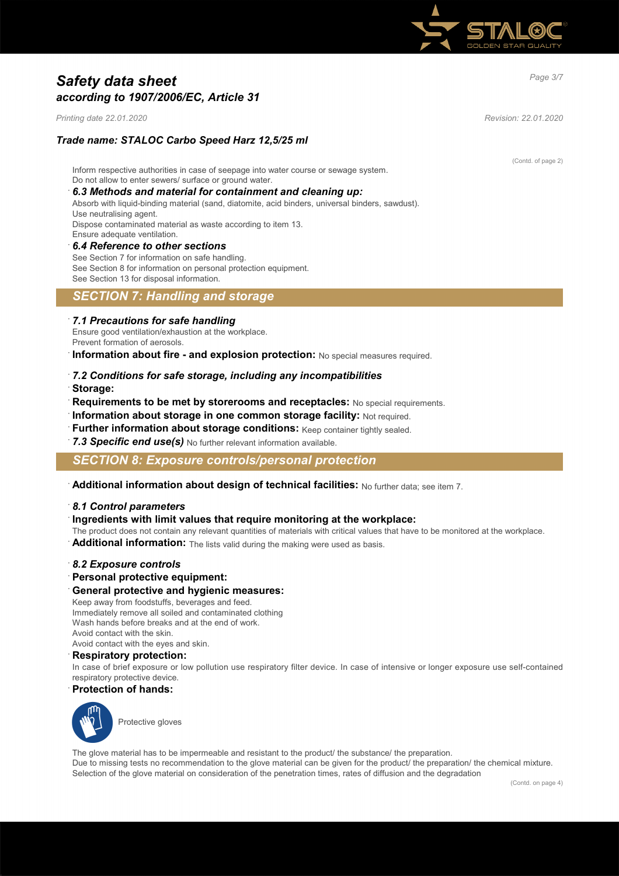

# *Page 3/7 Safety data sheet according to 1907/2006/EC, Article 31*

*Printing date 22.01.2020 Revision: 22.01.2020*

# *Trade name: STALOC Carbo Speed Harz 12,5/25 ml*

Inform respective authorities in case of seepage into water course or sewage system. Do not allow to enter sewers/ surface or ground water.

### · *6.3 Methods and material for containment and cleaning up:*

Absorb with liquid-binding material (sand, diatomite, acid binders, universal binders, sawdust). Use neutralising agent. Dispose contaminated material as waste according to item 13.

Ensure adequate ventilation.

· *6.4 Reference to other sections*

See Section 7 for information on safe handling. See Section 8 for information on personal protection equipment. See Section 13 for disposal information.

## *SECTION 7: Handling and storage*

### · *7.1 Precautions for safe handling*

Ensure good ventilation/exhaustion at the workplace. Prevent formation of aerosols.

**Information about fire - and explosion protection:** No special measures required.

- · *7.2 Conditions for safe storage, including any incompatibilities*
- · **Storage:**
- **Requirements to be met by storerooms and receptacles:** No special requirements.
- · **Information about storage in one common storage facility:** Not required.
- **Further information about storage conditions:** Keep container tightly sealed.
- 7.3 Specific end use(s) No further relevant information available.

### *SECTION 8: Exposure controls/personal protection*

· **Additional information about design of technical facilities:** No further data; see item 7.

#### · *8.1 Control parameters*

· **Ingredients with limit values that require monitoring at the workplace:**

The product does not contain any relevant quantities of materials with critical values that have to be monitored at the workplace.

· **Additional information:** The lists valid during the making were used as basis.

### · *8.2 Exposure controls*

- · **Personal protective equipment:**
- · **General protective and hygienic measures:**

Keep away from foodstuffs, beverages and feed. Immediately remove all soiled and contaminated clothing Wash hands before breaks and at the end of work Avoid contact with the skin.

Avoid contact with the eyes and skin.

· **Respiratory protection:**

In case of brief exposure or low pollution use respiratory filter device. In case of intensive or longer exposure use self-contained respiratory protective device.

· **Protection of hands:**



Protective gloves

The glove material has to be impermeable and resistant to the product/ the substance/ the preparation. Due to missing tests no recommendation to the glove material can be given for the product/ the preparation/ the chemical mixture. Selection of the glove material on consideration of the penetration times, rates of diffusion and the degradation

(Contd. of page 2)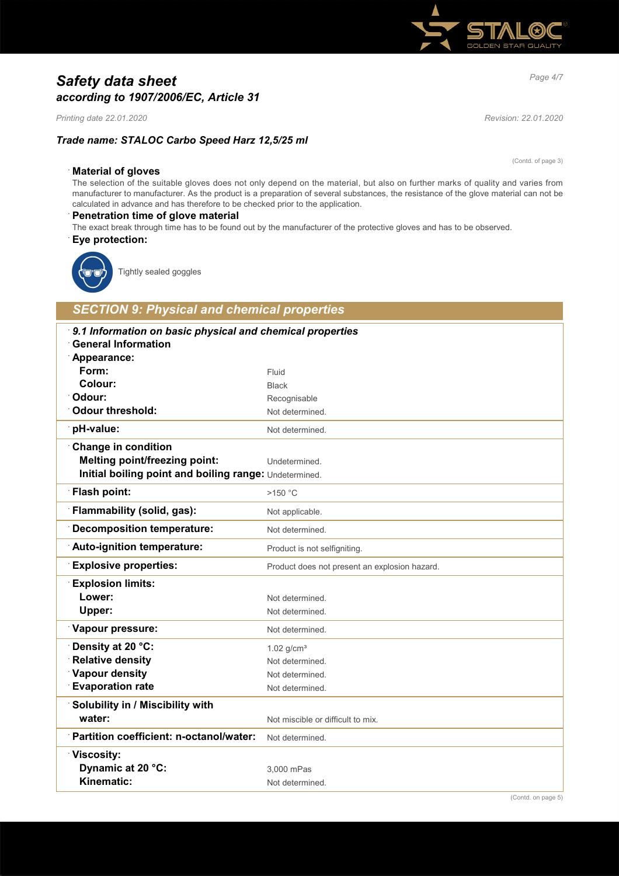

# *Page 4/7 Safety data sheet according to 1907/2006/EC, Article 31*

*Printing date 22.01.2020 Revision: 22.01.2020*

## *Trade name: STALOC Carbo Speed Harz 12,5/25 ml*

### · **Material of gloves**

The selection of the suitable gloves does not only depend on the material, but also on further marks of quality and varies from manufacturer to manufacturer. As the product is a preparation of several substances, the resistance of the glove material can not be calculated in advance and has therefore to be checked prior to the application.

### · **Penetration time of glove material**

The exact break through time has to be found out by the manufacturer of the protective gloves and has to be observed. · **Eye protection:**



Tightly sealed goggles

# *SECTION 9: Physical and chemical properties*

| 9.1 Information on basic physical and chemical properties<br><b>General Information</b><br>Appearance: |                                               |
|--------------------------------------------------------------------------------------------------------|-----------------------------------------------|
| Form:                                                                                                  | Fluid                                         |
| Colour:                                                                                                | <b>Black</b>                                  |
| Odour:                                                                                                 | Recognisable                                  |
| <b>Odour threshold:</b>                                                                                | Not determined.                               |
| pH-value:                                                                                              | Not determined.                               |
| <b>Change in condition</b>                                                                             |                                               |
| <b>Melting point/freezing point:</b>                                                                   | Undetermined.                                 |
| Initial boiling point and boiling range: Undetermined.                                                 |                                               |
| Flash point:                                                                                           | $>150$ °C                                     |
| Flammability (solid, gas):                                                                             | Not applicable.                               |
| <b>Decomposition temperature:</b>                                                                      | Not determined.                               |
| Auto-ignition temperature:                                                                             | Product is not selfigniting.                  |
| <b>Explosive properties:</b>                                                                           | Product does not present an explosion hazard. |
| <b>Explosion limits:</b>                                                                               |                                               |
| Lower:                                                                                                 | Not determined.                               |
| Upper:                                                                                                 | Not determined.                               |
| Vapour pressure:                                                                                       | Not determined.                               |
| Density at 20 °C:                                                                                      | $1.02$ g/cm <sup>3</sup>                      |
| <b>Relative density</b>                                                                                | Not determined.                               |
| Vapour density                                                                                         | Not determined.                               |
| <b>Evaporation rate</b>                                                                                | Not determined.                               |
| Solubility in / Miscibility with                                                                       |                                               |
| water:                                                                                                 | Not miscible or difficult to mix.             |
| Partition coefficient: n-octanol/water:                                                                | Not determined.                               |
| Viscosity:                                                                                             |                                               |
| Dynamic at 20 °C:                                                                                      | 3.000 mPas                                    |
| Kinematic:                                                                                             | Not determined.                               |
|                                                                                                        |                                               |

(Contd. of page 3)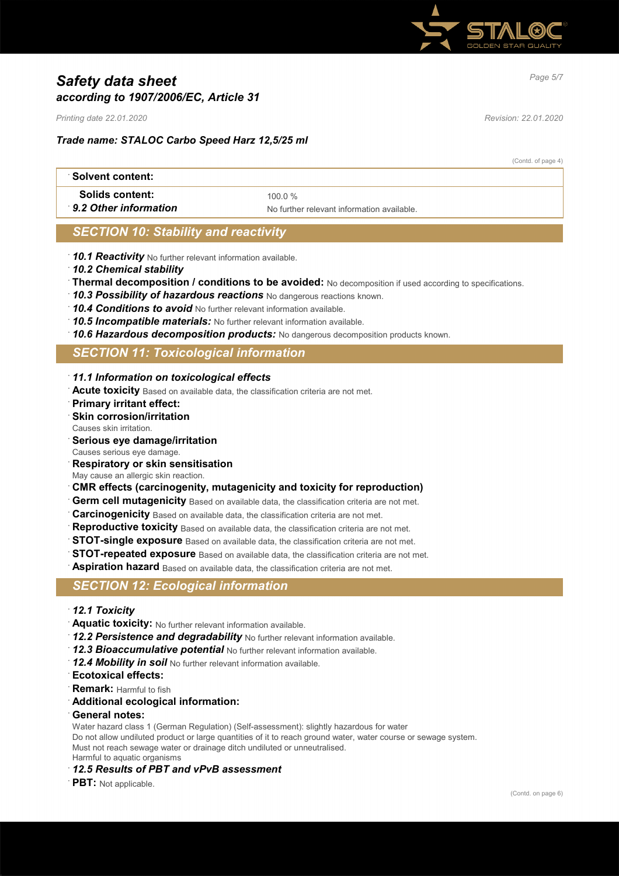

# *Page 5/7 Safety data sheet according to 1907/2006/EC, Article 31*

*Printing date 22.01.2020 Revision: 22.01.2020*

## *Trade name: STALOC Carbo Speed Harz 12,5/25 ml*

(Contd. of page 4)

| ∴Solvent content:      |                                            |
|------------------------|--------------------------------------------|
| <b>Solids content:</b> | 100 0 %                                    |
| 9.2 Other information  | No further relevant information available. |

# *SECTION 10: Stability and reactivity*

- · *10.1 Reactivity* No further relevant information available.
- · *10.2 Chemical stability*
- · **Thermal decomposition / conditions to be avoided:** No decomposition if used according to specifications.
- · *10.3 Possibility of hazardous reactions* No dangerous reactions known.
- · *10.4 Conditions to avoid* No further relevant information available.
- · *10.5 Incompatible materials:* No further relevant information available.
- · *10.6 Hazardous decomposition products:* No dangerous decomposition products known.

# *SECTION 11: Toxicological information*

- · *11.1 Information on toxicological effects*
- · **Acute toxicity** Based on available data, the classification criteria are not met.
- · **Primary irritant effect:**
- **Skin corrosion/irritation**
- Causes skin irritation.
- · **Serious eye damage/irritation**
- Causes serious eye damage.
- · **Respiratory or skin sensitisation**
- May cause an allergic skin reaction.
- · **CMR effects (carcinogenity, mutagenicity and toxicity for reproduction)**
- **Germ cell mutagenicity** Based on available data, the classification criteria are not met.
- **Carcinogenicity** Based on available data, the classification criteria are not met.
- **Reproductive toxicity** Based on available data, the classification criteria are not met.
- **STOT-single exposure** Based on available data, the classification criteria are not met.
- **STOT-repeated exposure** Based on available data, the classification criteria are not met.
- **Aspiration hazard** Based on available data, the classification criteria are not met.

### *SECTION 12: Ecological information*

- · *12.1 Toxicity*
- · **Aquatic toxicity:** No further relevant information available.
- · *12.2 Persistence and degradability* No further relevant information available.
- · *12.3 Bioaccumulative potential* No further relevant information available.
- · *12.4 Mobility in soil* No further relevant information available.
- · **Ecotoxical effects:**
- **Remark: Harmful to fish**
- · **Additional ecological information:**
- · **General notes:**
- Water hazard class 1 (German Regulation) (Self-assessment): slightly hazardous for water

Do not allow undiluted product or large quantities of it to reach ground water, water course or sewage system. Must not reach sewage water or drainage ditch undiluted or unneutralised. Harmful to aquatic organisms

- · *12.5 Results of PBT and vPvB assessment*
- **PBT:** Not applicable.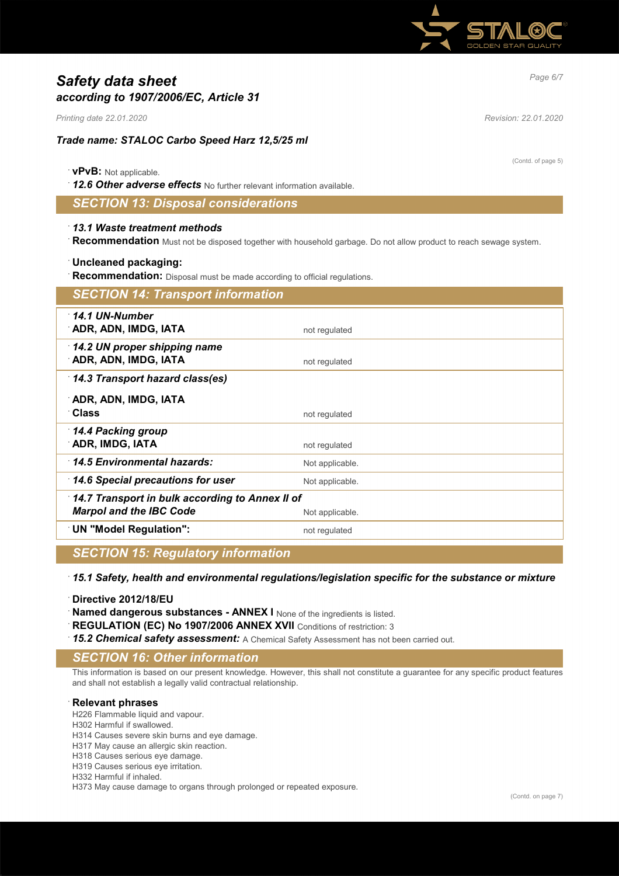

# *Page 6/7 Safety data sheet according to 1907/2006/EC, Article 31*

*Printing date 22.01.2020 Revision: 22.01.2020*

## *Trade name: STALOC Carbo Speed Harz 12,5/25 ml*

### · **vPvB:** Not applicable.

· *12.6 Other adverse effects* No further relevant information available.

# *SECTION 13: Disposal considerations*

### · *13.1 Waste treatment methods*

· **Recommendation** Must not be disposed together with household garbage. Do not allow product to reach sewage system.

### · **Uncleaned packaging:**

Recommendation: Disposal must be made according to official regulations.

| <b>SECTION 14: Transport information</b>             |                 |
|------------------------------------------------------|-----------------|
| $\cdot$ 14.1 UN-Number<br>ADR, ADN, IMDG, IATA       | not regulated   |
| 14.2 UN proper shipping name<br>ADR, ADN, IMDG, IATA | not regulated   |
| 14.3 Transport hazard class(es)                      |                 |
| ADR, ADN, IMDG, IATA                                 |                 |
| ∵Class                                               | not regulated   |
| 14.4 Packing group                                   |                 |
| <b>ADR, IMDG, IATA</b>                               | not regulated   |
| 14.5 Environmental hazards:                          | Not applicable. |
| 14.6 Special precautions for user                    | Not applicable. |
| 14.7 Transport in bulk according to Annex II of      |                 |
| <b>Marpol and the IBC Code</b>                       | Not applicable. |
| <b>UN "Model Regulation":</b>                        | not regulated   |

## *SECTION 15: Regulatory information*

· *15.1 Safety, health and environmental regulations/legislation specific for the substance or mixture*

· **Directive 2012/18/EU**

**Named dangerous substances - ANNEX I** None of the ingredients is listed.

**REGULATION (EC) No 1907/2006 ANNEX XVII** Conditions of restriction: 3

· *15.2 Chemical safety assessment:* A Chemical Safety Assessment has not been carried out.

### *SECTION 16: Other information*

This information is based on our present knowledge. However, this shall not constitute a guarantee for any specific product features and shall not establish a legally valid contractual relationship.

#### · **Relevant phrases**

H226 Flammable liquid and vapour.

H302 Harmful if swallowed.

H314 Causes severe skin burns and eye damage.

H317 May cause an allergic skin reaction.

H318 Causes serious eye damage.

H319 Causes serious eye irritation.

H332 Harmful if inhaled.

H373 May cause damage to organs through prolonged or repeated exposure.

(Contd. of page 5)